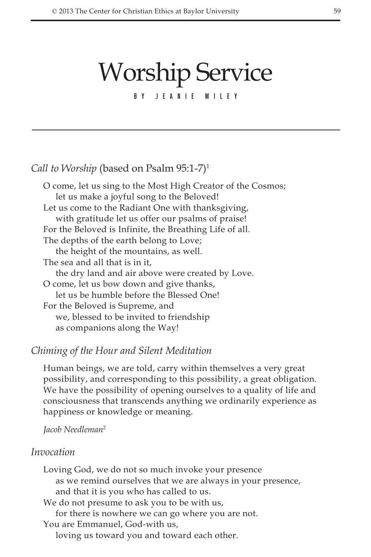# Worship Service

By Jeanie Miley

## *Call to Worship* (based on Psalm 95:1-7)<sup>1</sup>

O come, let us sing to the Most High Creator of the Cosmos; let us make a joyful song to the Beloved! Let us come to the Radiant One with thanksgiving, with gratitude let us offer our psalms of praise! For the Beloved is Infinite, the Breathing Life of all. The depths of the earth belong to Love; the height of the mountains, as well. The sea and all that is in it, the dry land and air above were created by Love. O come, let us bow down and give thanks, let us be humble before the Blessed One! For the Beloved is Supreme, and we, blessed to be invited to friendship as companions along the Way!

## *Chiming of the Hour and Silent Meditation*

Human beings, we are told, carry within themselves a very great possibility, and corresponding to this possibility, a great obligation. We have the possibility of opening ourselves to a quality of life and consciousness that transcends anything we ordinarily experience as happiness or knowledge or meaning.

## *Jacob Needleman*<sup>2</sup>

#### *Invocation*

Loving God, we do not so much invoke your presence as we remind ourselves that we are always in your presence, and that it is you who has called to us. We do not presume to ask you to be with us, for there is nowhere we can go where you are not. You are Emmanuel, God-with us, loving us toward you and toward each other.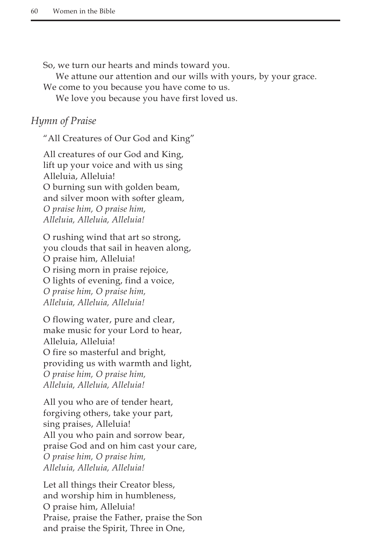So, we turn our hearts and minds toward you.

We attune our attention and our wills with yours, by your grace.

We come to you because you have come to us.

We love you because you have first loved us.

## *Hymn of Praise*

"All Creatures of Our God and King"

All creatures of our God and King, lift up your voice and with us sing Alleluia, Alleluia! O burning sun with golden beam, and silver moon with softer gleam, *O praise him, O praise him, Alleluia, Alleluia, Alleluia!*

O rushing wind that art so strong, you clouds that sail in heaven along, O praise him, Alleluia! O rising morn in praise rejoice, O lights of evening, find a voice, *O praise him, O praise him, Alleluia, Alleluia, Alleluia!*

O flowing water, pure and clear, make music for your Lord to hear, Alleluia, Alleluia! O fire so masterful and bright, providing us with warmth and light, *O praise him, O praise him, Alleluia, Alleluia, Alleluia!*

All you who are of tender heart, forgiving others, take your part, sing praises, Alleluia! All you who pain and sorrow bear, praise God and on him cast your care, *O praise him, O praise him, Alleluia, Alleluia, Alleluia!*

Let all things their Creator bless, and worship him in humbleness, O praise him, Alleluia! Praise, praise the Father, praise the Son and praise the Spirit, Three in One,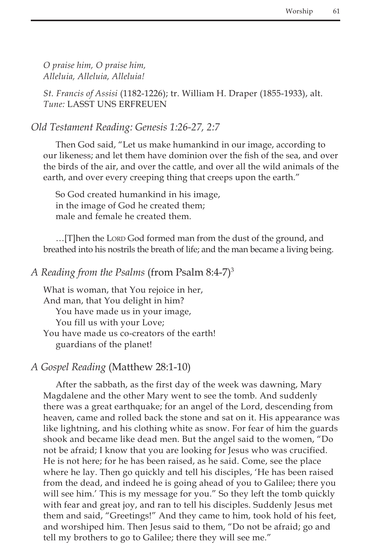*O praise him, O praise him, Alleluia, Alleluia, Alleluia!*

*St. Francis of Assisi* (1182-1226); tr. William H. Draper (1855-1933), alt. *Tune:* LASST UNS ERFREUEN

*Old Testament Reading: Genesis 1:26-27, 2:7*

Then God said, "Let us make humankind in our image, according to our likeness; and let them have dominion over the fish of the sea, and over the birds of the air, and over the cattle, and over all the wild animals of the earth, and over every creeping thing that creeps upon the earth."

So God created humankind in his image, in the image of God he created them; male and female he created them.

...[T]hen the Lorp God formed man from the dust of the ground, and breathed into his nostrils the breath of life; and the man became a living being.

## *A Reading from the Psalms* (from Psalm 8:4-7)3

What is woman, that You rejoice in her, And man, that You delight in him? You have made us in your image, You fill us with your Love; You have made us co-creators of the earth! guardians of the planet!

## *A Gospel Reading* (Matthew 28:1-10)

After the sabbath, as the first day of the week was dawning, Mary Magdalene and the other Mary went to see the tomb. And suddenly there was a great earthquake; for an angel of the Lord, descending from heaven, came and rolled back the stone and sat on it. His appearance was like lightning, and his clothing white as snow. For fear of him the guards shook and became like dead men. But the angel said to the women, "Do not be afraid; I know that you are looking for Jesus who was crucified. He is not here; for he has been raised, as he said. Come, see the place where he lay. Then go quickly and tell his disciples, 'He has been raised from the dead, and indeed he is going ahead of you to Galilee; there you will see him.' This is my message for you." So they left the tomb quickly with fear and great joy, and ran to tell his disciples. Suddenly Jesus met them and said, "Greetings!" And they came to him, took hold of his feet, and worshiped him. Then Jesus said to them, "Do not be afraid; go and tell my brothers to go to Galilee; there they will see me."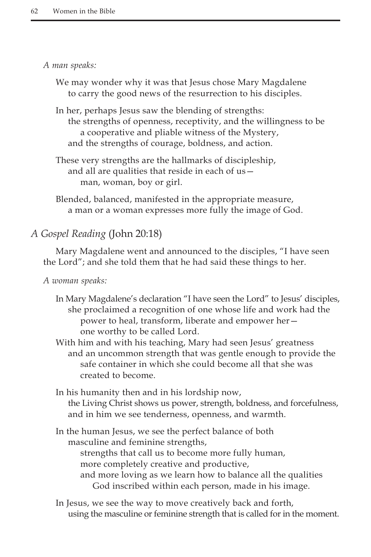#### *A man speaks:*

We may wonder why it was that Jesus chose Mary Magdalene to carry the good news of the resurrection to his disciples.

In her, perhaps Jesus saw the blending of strengths: the strengths of openness, receptivity, and the willingness to be a cooperative and pliable witness of the Mystery, and the strengths of courage, boldness, and action.

These very strengths are the hallmarks of discipleship, and all are qualities that reside in each of us man, woman, boy or girl.

Blended, balanced, manifested in the appropriate measure, a man or a woman expresses more fully the image of God.

## *A Gospel Reading* (John 20:18)

Mary Magdalene went and announced to the disciples, "I have seen the Lord"; and she told them that he had said these things to her.

*A woman speaks:*

In Mary Magdalene's declaration "I have seen the Lord" to Jesus' disciples, she proclaimed a recognition of one whose life and work had the power to heal, transform, liberate and empower her one worthy to be called Lord.

With him and with his teaching, Mary had seen Jesus' greatness and an uncommon strength that was gentle enough to provide the safe container in which she could become all that she was created to become.

In his humanity then and in his lordship now, the Living Christ shows us power, strength, boldness, and forcefulness, and in him we see tenderness, openness, and warmth.

In the human Jesus, we see the perfect balance of both masculine and feminine strengths,

strengths that call us to become more fully human, more completely creative and productive, and more loving as we learn how to balance all the qualities God inscribed within each person, made in his image.

In Jesus, we see the way to move creatively back and forth, using the masculine or feminine strength that is called for in the moment.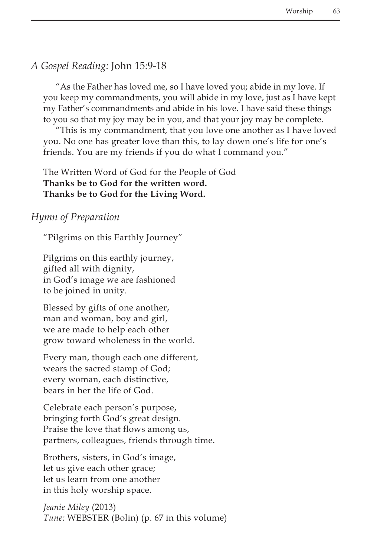# *A Gospel Reading:* John 15:9-18

"As the Father has loved me, so I have loved you; abide in my love. If you keep my commandments, you will abide in my love, just as I have kept my Father's commandments and abide in his love. I have said these things to you so that my joy may be in you, and that your joy may be complete.

"This is my commandment, that you love one another as I have loved you. No one has greater love than this, to lay down one's life for one's friends. You are my friends if you do what I command you."

The Written Word of God for the People of God **Thanks be to God for the written word. Thanks be to God for the Living Word.**

## *Hymn of Preparation*

"Pilgrims on this Earthly Journey"

Pilgrims on this earthly journey, gifted all with dignity, in God's image we are fashioned to be joined in unity.

Blessed by gifts of one another, man and woman, boy and girl, we are made to help each other grow toward wholeness in the world.

Every man, though each one different, wears the sacred stamp of God; every woman, each distinctive, bears in her the life of God.

Celebrate each person's purpose, bringing forth God's great design. Praise the love that flows among us, partners, colleagues, friends through time.

Brothers, sisters, in God's image, let us give each other grace; let us learn from one another in this holy worship space.

*Jeanie Miley* (2013) *Tune:* WEBSTER (Bolin) (p. 67 in this volume)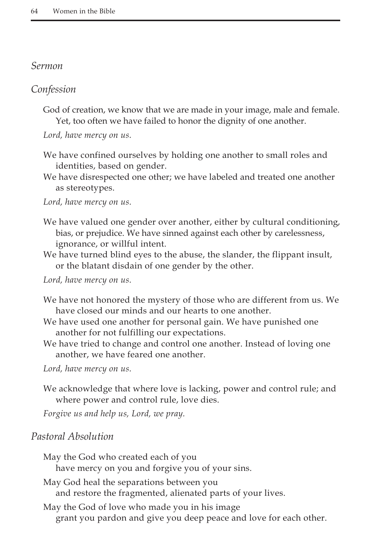#### *Sermon*

## *Confession*

God of creation, we know that we are made in your image, male and female. Yet, too often we have failed to honor the dignity of one another.

*Lord, have mercy on us.*

We have confined ourselves by holding one another to small roles and identities, based on gender.

We have disrespected one other; we have labeled and treated one another as stereotypes.

*Lord, have mercy on us.*

- We have valued one gender over another, either by cultural conditioning, bias, or prejudice. We have sinned against each other by carelessness, ignorance, or willful intent.
- We have turned blind eyes to the abuse, the slander, the flippant insult, or the blatant disdain of one gender by the other.

*Lord, have mercy on us.*

- We have not honored the mystery of those who are different from us. We have closed our minds and our hearts to one another.
- We have used one another for personal gain. We have punished one another for not fulfilling our expectations.
- We have tried to change and control one another. Instead of loving one another, we have feared one another.

*Lord, have mercy on us.*

We acknowledge that where love is lacking, power and control rule; and where power and control rule, love dies.

*Forgive us and help us, Lord, we pray.*

## *Pastoral Absolution*

May the God who created each of you have mercy on you and forgive you of your sins. May God heal the separations between you and restore the fragmented, alienated parts of your lives. May the God of love who made you in his image grant you pardon and give you deep peace and love for each other.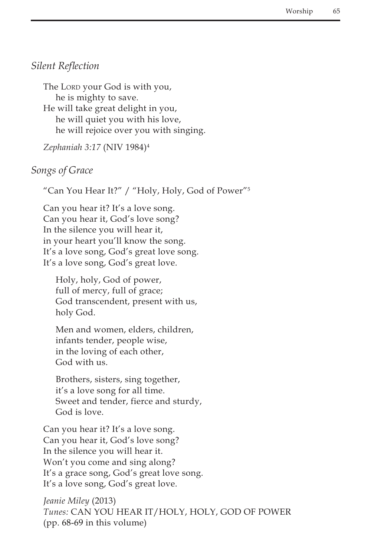# *Silent Reflection*

The Lorp your God is with you, he is mighty to save. He will take great delight in you, he will quiet you with his love, he will rejoice over you with singing.

*Zephaniah 3:17* (NIV 1984)4

## *Songs of Grace*

"Can You Hear It?" / "Holy, Holy, God of Power"5

Can you hear it? It's a love song. Can you hear it, God's love song? In the silence you will hear it, in your heart you'll know the song. It's a love song, God's great love song. It's a love song, God's great love.

Holy, holy, God of power, full of mercy, full of grace; God transcendent, present with us, holy God.

Men and women, elders, children, infants tender, people wise, in the loving of each other, God with us.

Brothers, sisters, sing together, it's a love song for all time. Sweet and tender, fierce and sturdy, God is love.

Can you hear it? It's a love song. Can you hear it, God's love song? In the silence you will hear it. Won't you come and sing along? It's a grace song, God's great love song. It's a love song, God's great love.

*Jeanie Miley* (2013) *Tunes:* CAN YOU HEAR IT/HOLY, HOLY, GOD OF POWER (pp. 68-69 in this volume)